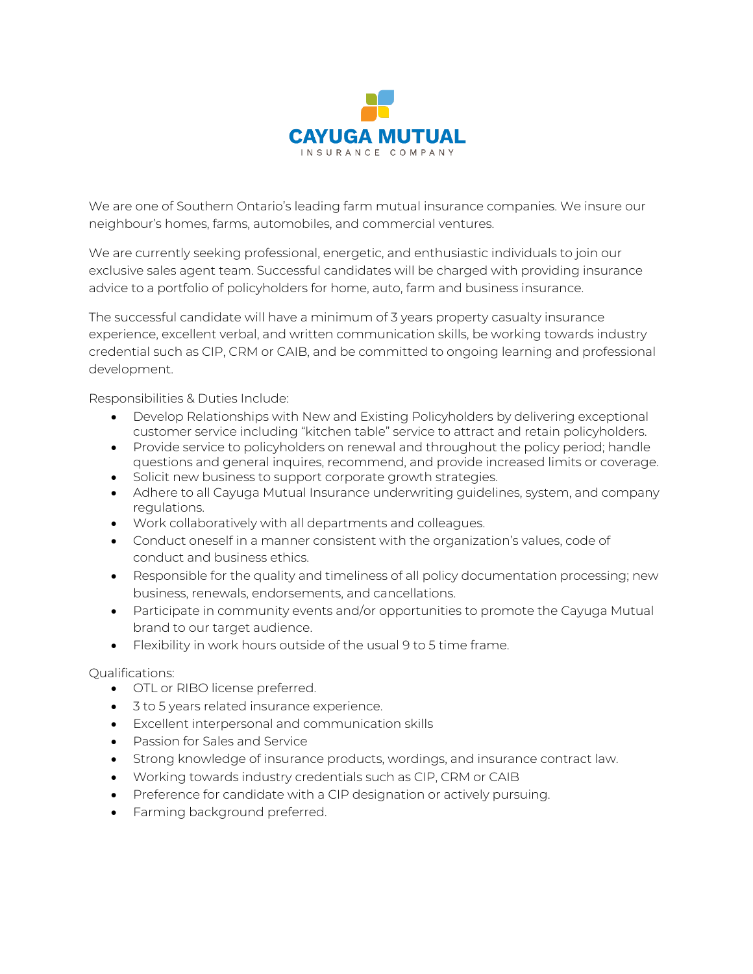

We are one of Southern Ontario's leading farm mutual insurance companies. We insure our neighbour's homes, farms, automobiles, and commercial ventures.

We are currently seeking professional, energetic, and enthusiastic individuals to join our exclusive sales agent team. Successful candidates will be charged with providing insurance advice to a portfolio of policyholders for home, auto, farm and business insurance.

The successful candidate will have a minimum of 3 years property casualty insurance experience, excellent verbal, and written communication skills, be working towards industry credential such as CIP, CRM or CAIB, and be committed to ongoing learning and professional development.

Responsibilities & Duties Include:

- Develop Relationships with New and Existing Policyholders by delivering exceptional customer service including "kitchen table" service to attract and retain policyholders.
- Provide service to policyholders on renewal and throughout the policy period; handle questions and general inquires, recommend, and provide increased limits or coverage.
- Solicit new business to support corporate growth strategies.
- Adhere to all Cayuga Mutual Insurance underwriting guidelines, system, and company regulations.
- Work collaboratively with all departments and colleagues.
- Conduct oneself in a manner consistent with the organization's values, code of conduct and business ethics.
- Responsible for the quality and timeliness of all policy documentation processing; new business, renewals, endorsements, and cancellations.
- Participate in community events and/or opportunities to promote the Cayuga Mutual brand to our target audience.
- Flexibility in work hours outside of the usual 9 to 5 time frame.

Qualifications:

- OTL or RIBO license preferred.
- 3 to 5 years related insurance experience.
- Excellent interpersonal and communication skills
- Passion for Sales and Service
- Strong knowledge of insurance products, wordings, and insurance contract law.
- Working towards industry credentials such as CIP, CRM or CAIB
- Preference for candidate with a CIP designation or actively pursuing.
- Farming background preferred.